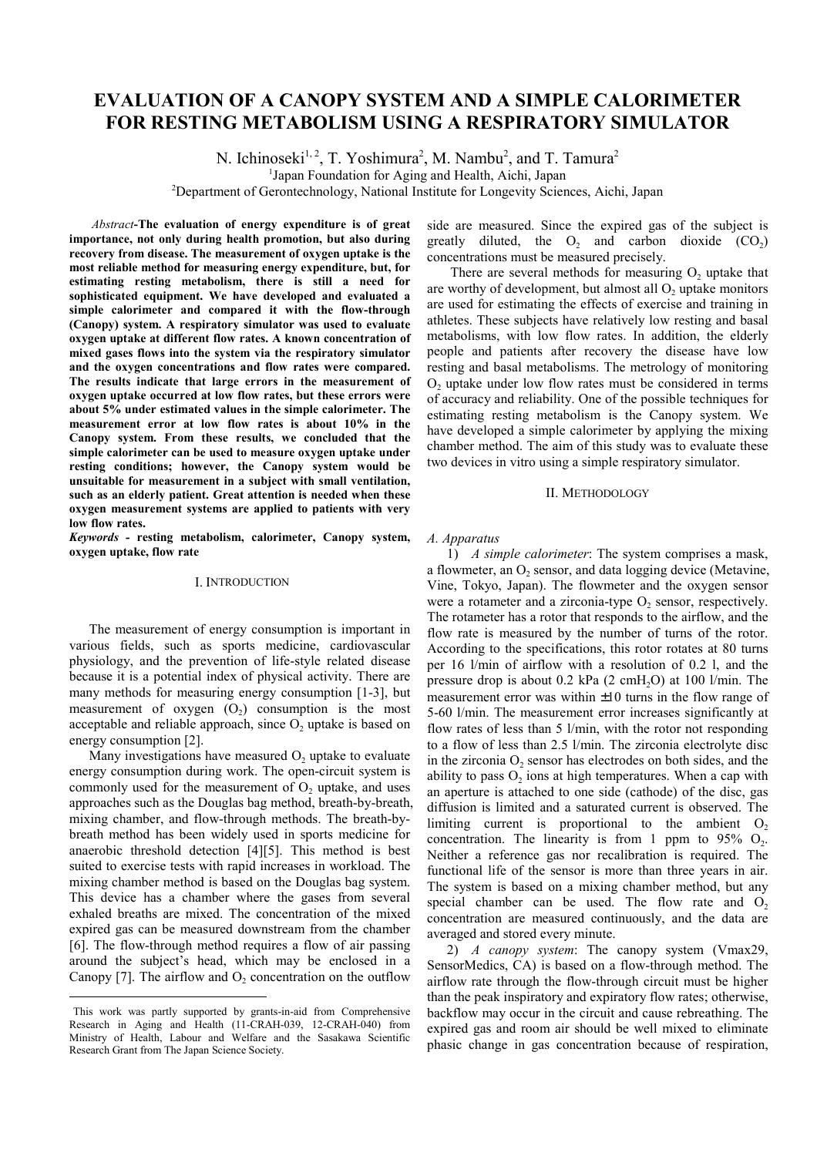# **EVALUATION OF A CANOPY SYSTEM AND A SIMPLE CALORIMETER FOR RESTING METABOLISM USING A RESPIRATORY SIMULATOR**

N. Ichinoseki<sup>1, 2</sup>, T. Yoshimura<sup>2</sup>, M. Nambu<sup>2</sup>, and T. Tamura<sup>2</sup>

<sup>1</sup>Japan Foundation for Aging and Health, Aichi, Japan

<sup>2</sup>Department of Gerontechnology, National Institute for Longevity Sciences, Aichi, Japan

 *Abstract***-The evaluation of energy expenditure is of great importance, not only during health promotion, but also during recovery from disease. The measurement of oxygen uptake is the most reliable method for measuring energy expenditure, but, for estimating resting metabolism, there is still a need for sophisticated equipment. We have developed and evaluated a simple calorimeter and compared it with the flow-through (Canopy) system. A respiratory simulator was used to evaluate oxygen uptake at different flow rates. A known concentration of mixed gases flows into the system via the respiratory simulator and the oxygen concentrations and flow rates were compared. The results indicate that large errors in the measurement of oxygen uptake occurred at low flow rates, but these errors were about 5% under estimated values in the simple calorimeter. The measurement error at low flow rates is about 10% in the Canopy system. From these results, we concluded that the simple calorimeter can be used to measure oxygen uptake under resting conditions; however, the Canopy system would be unsuitable for measurement in a subject with small ventilation, such as an elderly patient. Great attention is needed when these oxygen measurement systems are applied to patients with very** low flow rates.

*Keywords -* **resting metabolism, calorimeter, Canopy system, oxygen uptake, flow rate**

### I. INTRODUCTION

The measurement of energy consumption is important in various fields, such as sports medicine, cardiovascular physiology, and the prevention of life-style related disease because it is a potential index of physical activity. There are many methods for measuring energy consumption [1-3], but measurement of oxygen  $(O<sub>2</sub>)$  consumption is the most acceptable and reliable approach, since  $O<sub>2</sub>$  uptake is based on energy consumption [2].

Many investigations have measured  $O<sub>2</sub>$  uptake to evaluate energy consumption during work. The open-circuit system is commonly used for the measurement of  $O<sub>2</sub>$  uptake, and uses approaches such as the Douglas bag method, breath-by-breath, mixing chamber, and flow-through methods. The breath-bybreath method has been widely used in sports medicine for anaerobic threshold detection [4][5]. This method is best suited to exercise tests with rapid increases in workload. The mixing chamber method is based on the Douglas bag system. This device has a chamber where the gases from several exhaled breaths are mixed. The concentration of the mixed expired gas can be measured downstream from the chamber [6]. The flow-through method requires a flow of air passing around the subject's head, which may be enclosed in a Canopy [7]. The airflow and  $O<sub>2</sub>$  concentration on the outflow

l

side are measured. Since the expired gas of the subject is greatly diluted, the  $O_2$  and carbon dioxide  $(CO_2)$ concentrations must be measured precisely.

There are several methods for measuring  $O<sub>2</sub>$  uptake that are worthy of development, but almost all  $O<sub>2</sub>$  uptake monitors are used for estimating the effects of exercise and training in athletes. These subjects have relatively low resting and basal metabolisms, with low flow rates. In addition, the elderly people and patients after recovery the disease have low resting and basal metabolisms. The metrology of monitoring  $O<sub>2</sub>$  uptake under low flow rates must be considered in terms of accuracy and reliability. One of the possible techniques for estimating resting metabolism is the Canopy system. We have developed a simple calorimeter by applying the mixing chamber method. The aim of this study was to evaluate these two devices in vitro using a simple respiratory simulator.

#### II. METHODOLOGY

#### *A. Apparatus*

1) *A simple calorimeter*: The system comprises a mask, a flowmeter, an  $O<sub>2</sub>$  sensor, and data logging device (Metavine, Vine, Tokyo, Japan). The flowmeter and the oxygen sensor were a rotameter and a zirconia-type  $O<sub>2</sub>$  sensor, respectively. The rotameter has a rotor that responds to the airflow, and the flow rate is measured by the number of turns of the rotor. According to the specifications, this rotor rotates at 80 turns per 16 l/min of airflow with a resolution of 0.2 l, and the pressure drop is about  $0.2$  kPa  $(2 \text{ cmH}_2\text{O})$  at  $100 \frac{\text{1}}{\text{min}}$ . The measurement error was within ±10 turns in the flow range of 5-60 l/min. The measurement error increases significantly at flow rates of less than 5 l/min, with the rotor not responding to a flow of less than 2.5 l/min. The zirconia electrolyte disc in the zirconia  $O<sub>2</sub>$  sensor has electrodes on both sides, and the ability to pass  $O<sub>2</sub>$  ions at high temperatures. When a cap with an aperture is attached to one side (cathode) of the disc, gas diffusion is limited and a saturated current is observed. The limiting current is proportional to the ambient  $O<sub>2</sub>$ concentration. The linearity is from 1 ppm to  $95\%$  O<sub>2</sub>. Neither a reference gas nor recalibration is required. The functional life of the sensor is more than three years in air. The system is based on a mixing chamber method, but any special chamber can be used. The flow rate and  $O<sub>2</sub>$ concentration are measured continuously, and the data are averaged and stored every minute.

2) *A canopy system*: The canopy system (Vmax29, SensorMedics, CA) is based on a flow-through method. The airflow rate through the flow-through circuit must be higher than the peak inspiratory and expiratory flow rates; otherwise, backflow may occur in the circuit and cause rebreathing. The expired gas and room air should be well mixed to eliminate phasic change in gas concentration because of respiration,

This work was partly supported by grants-in-aid from Comprehensive Research in Aging and Health (11-CRAH-039, 12-CRAH-040) from Ministry of Health, Labour and Welfare and the Sasakawa Scientific Research Grant from The Japan Science Society.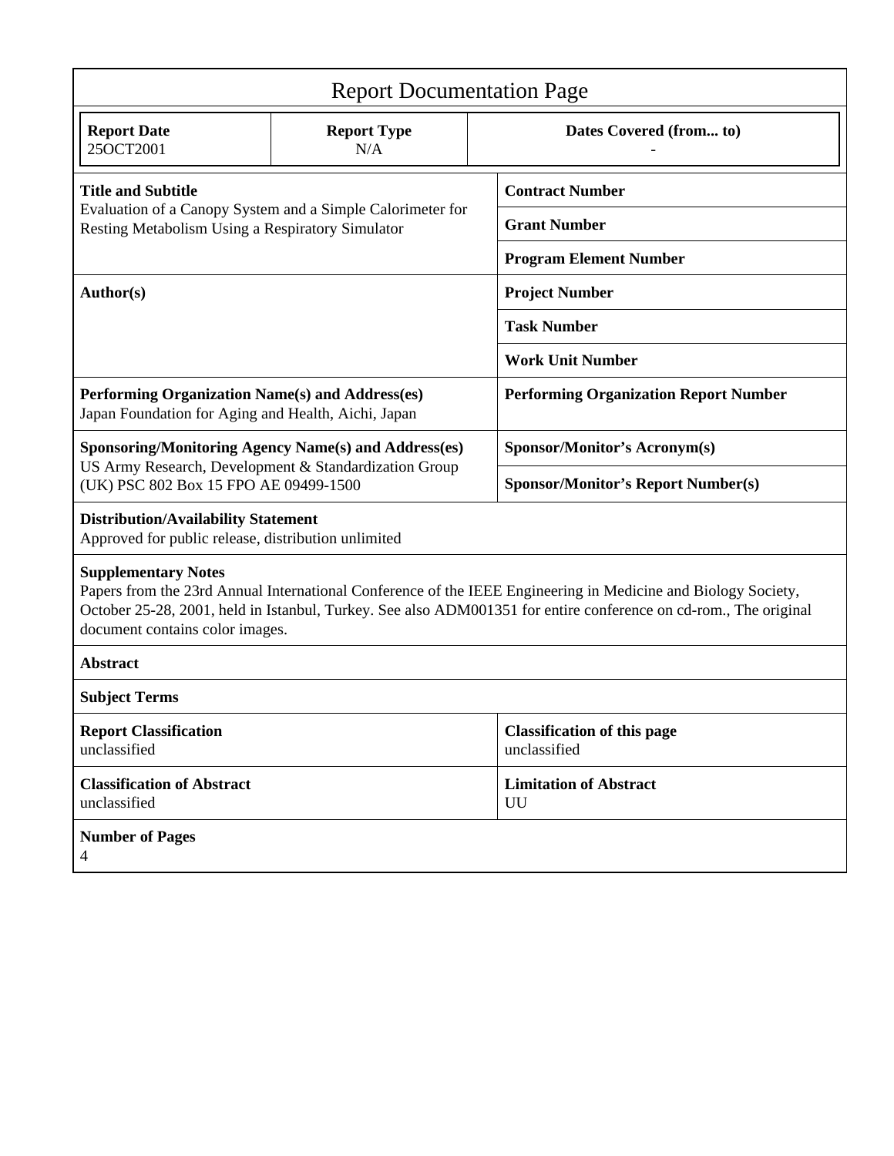| <b>Report Documentation Page</b>                                                                                                                                                                                                                                                                   |                           |                                                    |  |  |
|----------------------------------------------------------------------------------------------------------------------------------------------------------------------------------------------------------------------------------------------------------------------------------------------------|---------------------------|----------------------------------------------------|--|--|
| <b>Report Date</b><br>25OCT2001                                                                                                                                                                                                                                                                    | <b>Report Type</b><br>N/A | Dates Covered (from to)                            |  |  |
| <b>Title and Subtitle</b><br>Evaluation of a Canopy System and a Simple Calorimeter for<br>Resting Metabolism Using a Respiratory Simulator                                                                                                                                                        |                           | <b>Contract Number</b>                             |  |  |
|                                                                                                                                                                                                                                                                                                    |                           | <b>Grant Number</b>                                |  |  |
|                                                                                                                                                                                                                                                                                                    |                           | <b>Program Element Number</b>                      |  |  |
| Author(s)                                                                                                                                                                                                                                                                                          |                           | <b>Project Number</b>                              |  |  |
|                                                                                                                                                                                                                                                                                                    |                           | <b>Task Number</b>                                 |  |  |
|                                                                                                                                                                                                                                                                                                    |                           | <b>Work Unit Number</b>                            |  |  |
| Performing Organization Name(s) and Address(es)<br>Japan Foundation for Aging and Health, Aichi, Japan                                                                                                                                                                                             |                           | <b>Performing Organization Report Number</b>       |  |  |
| <b>Sponsoring/Monitoring Agency Name(s) and Address(es)</b><br>US Army Research, Development & Standardization Group<br>(UK) PSC 802 Box 15 FPO AE 09499-1500                                                                                                                                      |                           | <b>Sponsor/Monitor's Acronym(s)</b>                |  |  |
|                                                                                                                                                                                                                                                                                                    |                           | <b>Sponsor/Monitor's Report Number(s)</b>          |  |  |
| <b>Distribution/Availability Statement</b><br>Approved for public release, distribution unlimited                                                                                                                                                                                                  |                           |                                                    |  |  |
| <b>Supplementary Notes</b><br>Papers from the 23rd Annual International Conference of the IEEE Engineering in Medicine and Biology Society,<br>October 25-28, 2001, held in Istanbul, Turkey. See also ADM001351 for entire conference on cd-rom., The original<br>document contains color images. |                           |                                                    |  |  |
| <b>Abstract</b>                                                                                                                                                                                                                                                                                    |                           |                                                    |  |  |
| <b>Subject Terms</b>                                                                                                                                                                                                                                                                               |                           |                                                    |  |  |
| <b>Report Classification</b><br>unclassified                                                                                                                                                                                                                                                       |                           | <b>Classification of this page</b><br>unclassified |  |  |
| <b>Classification of Abstract</b><br>unclassified                                                                                                                                                                                                                                                  |                           | <b>Limitation of Abstract</b><br>UU                |  |  |
| <b>Number of Pages</b><br>$\overline{4}$                                                                                                                                                                                                                                                           |                           |                                                    |  |  |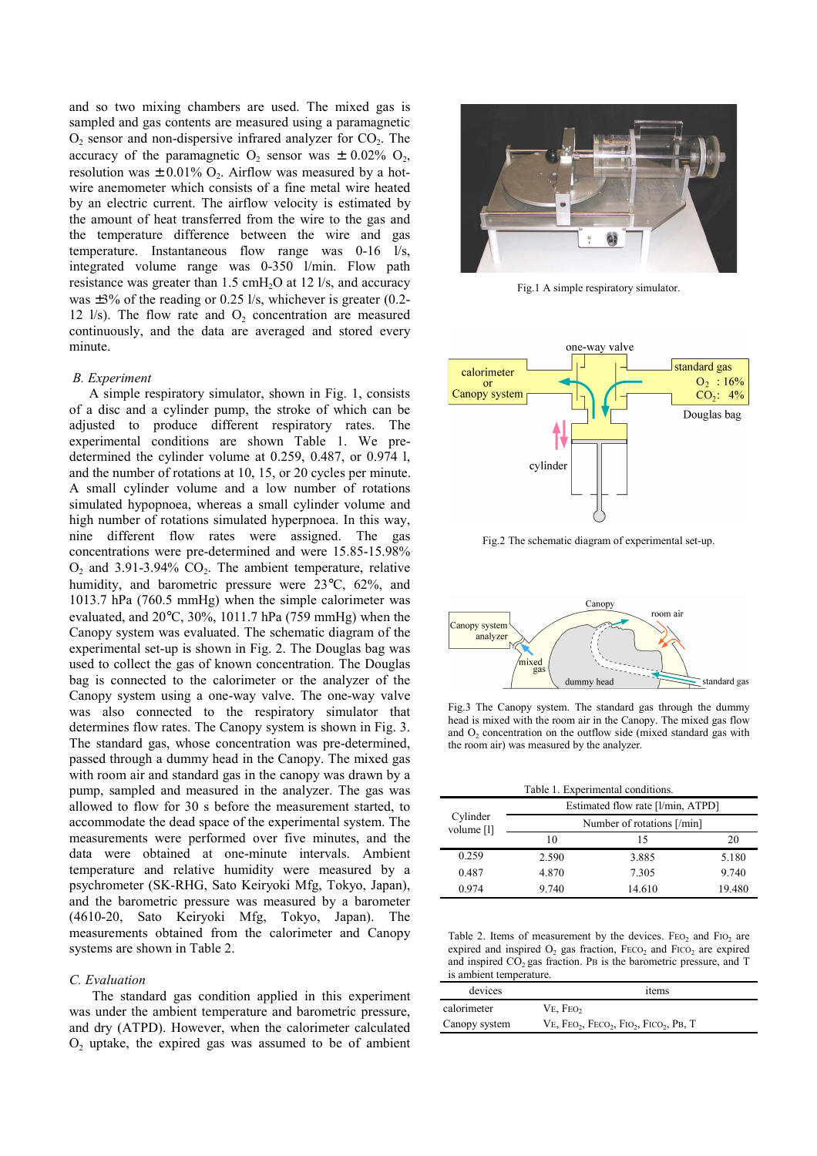and so two mixing chambers are used. The mixed gas is sampled and gas contents are measured using a paramagnetic  $O<sub>2</sub>$  sensor and non-dispersive infrared analyzer for  $CO<sub>2</sub>$ . The accuracy of the paramagnetic  $O_2$  sensor was  $\pm$  0.02%  $O_2$ , resolution was  $\pm$  0.01% O<sub>2</sub>. Airflow was measured by a hotwire anemometer which consists of a fine metal wire heated by an electric current. The airflow velocity is estimated by the amount of heat transferred from the wire to the gas and the temperature difference between the wire and gas temperature. Instantaneous flow range was 0-16 l/s, integrated volume range was 0-350 l/min. Flow path resistance was greater than  $1.5 \text{ cm}$ H<sub>2</sub>O at  $12 \text{ l/s}$ , and accuracy was  $\pm 3\%$  of the reading or 0.25 l/s, whichever is greater (0.2-12 l/s). The flow rate and  $O<sub>2</sub>$  concentration are measured continuously, and the data are averaged and stored every minute.

### *B. Experiment*

A simple respiratory simulator, shown in Fig. 1, consists of a disc and a cylinder pump, the stroke of which can be adjusted to produce different respiratory rates. The experimental conditions are shown Table 1. We predetermined the cylinder volume at 0.259, 0.487, or 0.974 l, and the number of rotations at 10, 15, or 20 cycles per minute. A small cylinder volume and a low number of rotations simulated hypopnoea, whereas a small cylinder volume and high number of rotations simulated hyperpnoea. In this way, nine different flow rates were assigned. The gas concentrations were pre-determined and were 15.85-15.98%  $O<sub>2</sub>$  and 3.91-3.94%  $CO<sub>2</sub>$ . The ambient temperature, relative humidity, and barometric pressure were 23°C, 62%, and 1013.7 hPa (760.5 mmHg) when the simple calorimeter was evaluated, and 20°C, 30%, 1011.7 hPa (759 mmHg) when the Canopy system was evaluated. The schematic diagram of the experimental set-up is shown in Fig. 2. The Douglas bag was used to collect the gas of known concentration. The Douglas bag is connected to the calorimeter or the analyzer of the Canopy system using a one-way valve. The one-way valve was also connected to the respiratory simulator that determines flow rates. The Canopy system is shown in Fig. 3. The standard gas, whose concentration was pre-determined, passed through a dummy head in the Canopy. The mixed gas with room air and standard gas in the canopy was drawn by a pump, sampled and measured in the analyzer. The gas was allowed to flow for 30 s before the measurement started, to accommodate the dead space of the experimental system. The measurements were performed over five minutes, and the data were obtained at one-minute intervals. Ambient temperature and relative humidity were measured by a psychrometer (SK-RHG, Sato Keiryoki Mfg, Tokyo, Japan), and the barometric pressure was measured by a barometer (4610-20, Sato Keiryoki Mfg, Tokyo, Japan). The measurements obtained from the calorimeter and Canopy systems are shown in Table 2.

### *C. Evaluation*

 The standard gas condition applied in this experiment was under the ambient temperature and barometric pressure, and dry (ATPD). However, when the calorimeter calculated  $O<sub>2</sub>$  uptake, the expired gas was assumed to be of ambient



Fig.1 A simple respiratory simulator.



Fig.2 The schematic diagram of experimental set-up.



Fig.3 The Canopy system. The standard gas through the dummy head is mixed with the room air in the Canopy. The mixed gas flow and  $O<sub>2</sub>$  concentration on the outflow side (mixed standard gas with the room air) was measured by the analyzer.

Table 1. Experimental conditions.

| Cylinder<br>volume [1] | Estimated flow rate [l/min, ATPD] |        |        |  |
|------------------------|-----------------------------------|--------|--------|--|
|                        | Number of rotations [/min]        |        |        |  |
|                        | 10                                | 15     | 20     |  |
| 0.259                  | 2.590                             | 3.885  | 5.180  |  |
| 0.487                  | 4.870                             | 7.305  | 9.740  |  |
| 0974                   | 9.740                             | 14.610 | 19.480 |  |

Table 2. Items of measurement by the devices. FEO<sub>2</sub> and FIO<sub>2</sub> are expired and inspired  $O_2$  gas fraction,  $FECO_2$  and  $FICO_2$  are expired and inspired  $CO<sub>2</sub>$  gas fraction. PB is the barometric pressure, and T is ambient temperature.

| devices       | items                                 |
|---------------|---------------------------------------|
| calorimeter   | VE, FEO <sub>2</sub>                  |
| Canopy system | $VE, FEO2, FEO2, FIO2, FICO2, P.B, T$ |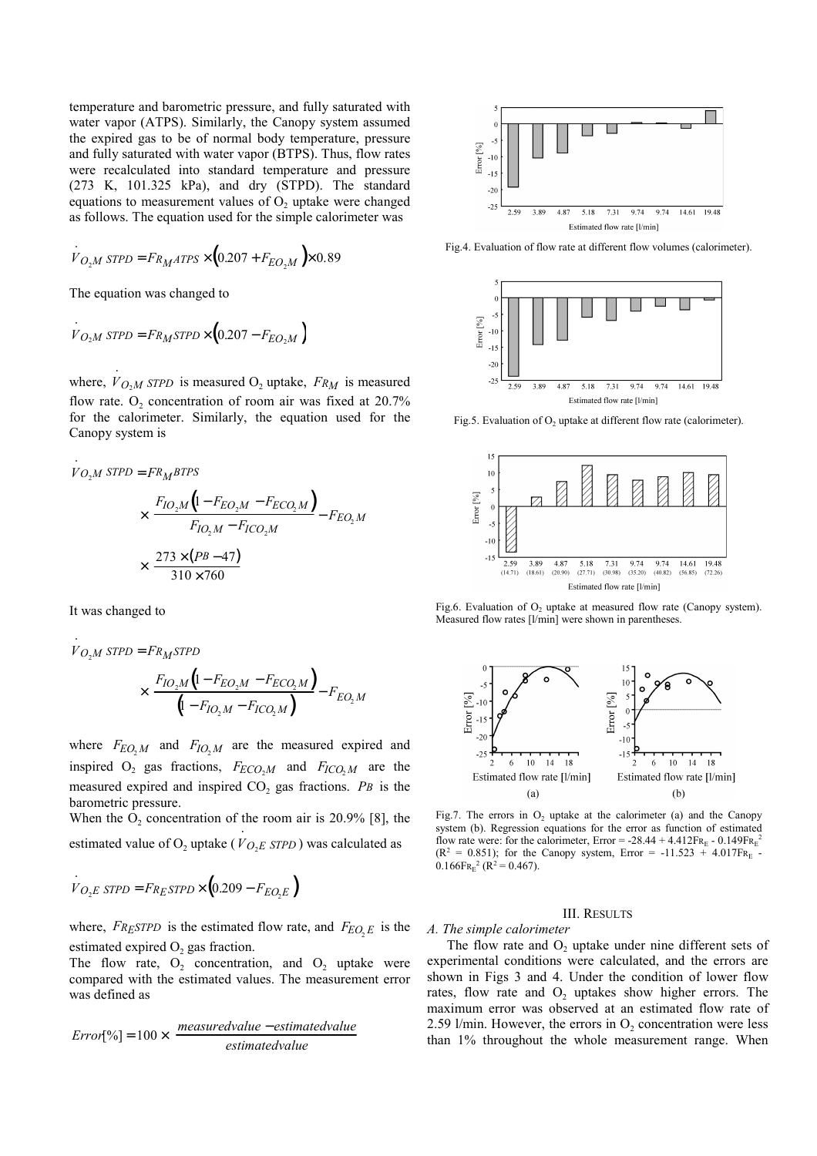temperature and barometric pressure, and fully saturated with water vapor (ATPS). Similarly, the Canopy system assumed the expired gas to be of normal body temperature, pressure and fully saturated with water vapor (BTPS). Thus, flow rates were recalculated into standard temperature and pressure (273 K, 101.325 kPa), and dry (STPD). The standard equations to measurement values of  $O<sub>2</sub>$  uptake were changed as follows. The equation used for the simple calorimeter was

$$
V_{O_2M \text{ STPD}} = F_{R_MATPS} \times (0.207 + F_{EO_2M}) \times 0.89
$$

The equation was changed to

$$
\dot{V}_{O_2M \, STPD} = F_{R_M STPD} \times (0.207 - F_{EO_2M})
$$

where,  $V_{O_2M}$  *STPD* is measured  $O_2$  uptake,  $F_{RM}$  is measured flow rate.  $O_2$  concentration of room air was fixed at 20.7% for the calorimeter. Similarly, the equation used for the Canopy system is

$$
V_{O_2M} \text{ STPD} = FR_M \text{BTPS}
$$
\n
$$
\times \left( \frac{F_{IO_2M} \left( 1 - F_{EO_2M} - F_{ECO_2M} \right)}{F_{IO_2M} - F_{ICO_2M}} - F_{EO_2M} \right)
$$
\n
$$
\times \left( \frac{273 \times (P^B - 47)}{310 \times 760} \right)
$$

It was changed to

⋅

$$
V_{O_2M \text{ STPD}} = F_{R_M \text{STPD}}
$$

$$
\times \left( \frac{F_{IO_2M} \left( 1 - F_{EO_2M} - F_{ECO_2M} \right)}{\left( 1 - F_{IO_2M} - F_{ICO_2M} \right)} - F_{EO_2M} \right)
$$

where  $F_{EO, M}$  and  $F_{IO, M}$  are the measured expired and inspired  $O_2$  gas fractions,  $F_{ECO_2M}$  and  $F_{ICO_2M}$  are the measured expired and inspired  $CO<sub>2</sub>$  gas fractions. *PB* is the barometric pressure.

When the  $O_2$  concentration of the room air is 20.9% [8], the estimated value of  $O_2$  uptake (*V* $O_2E$  *STPD*) was calculated as

$$
V_{O_2E \text{ STPD}} = F_{R_E \text{STPD}} \times (0.209 - F_{EO_2E})
$$

where,  $F_{R, ESTPD}$  is the estimated flow rate, and  $F_{EQ, E}$  is the estimated expired  $O<sub>2</sub>$  gas fraction.

The flow rate,  $O_2$  concentration, and  $O_2$  uptake were compared with the estimated values. The measurement error was defined as

$$
Error[%] = 100 \times \left(\frac{measured value - estimated value}{estimated value}\right)
$$



Fig.4. Evaluation of flow rate at different flow volumes (calorimeter).



Fig.5. Evaluation of  $O<sub>2</sub>$  uptake at different flow rate (calorimeter).



Fig.6. Evaluation of  $O<sub>2</sub>$  uptake at measured flow rate (Canopy system). Measured flow rates [l/min] were shown in parentheses.



Fig.7. The errors in  $O_2$  uptake at the calorimeter (a) and the Canopy system (b). Regression equations for the error as function of estimated flow rate were: for the calorimeter,  $Error = -28.44 + 4.412FR_E - 0.149FR_E^2$  $(R^2 = 0.851)$ ; for the Canopy system, Error = -11.523 + 4.017FR<sub>E</sub> - $0.166 \text{Fr}_{\text{E}}^2$  (R<sup>2</sup> = 0.467).

### III. RESULTS

### *A. The simple calorimeter*

The flow rate and  $O_2$  uptake under nine different sets of experimental conditions were calculated, and the errors are shown in Figs 3 and 4. Under the condition of lower flow rates, flow rate and  $O<sub>2</sub>$  uptakes show higher errors. The maximum error was observed at an estimated flow rate of 2.59 l/min. However, the errors in  $O<sub>2</sub>$  concentration were less than 1% throughout the whole measurement range. When